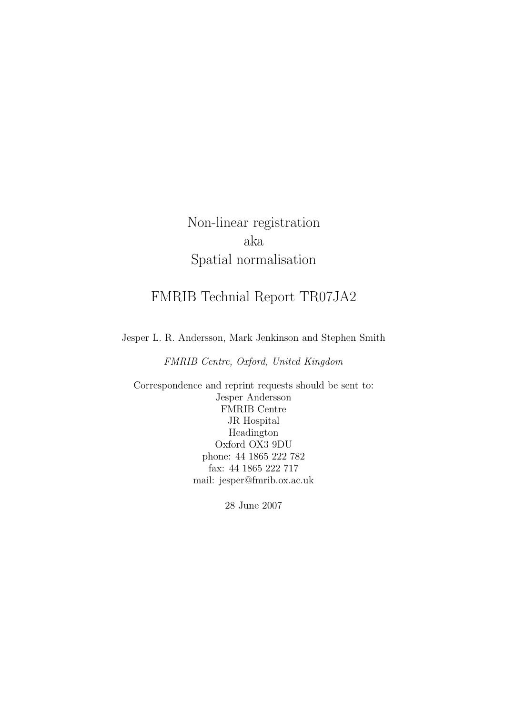Non-linear registration aka Spatial normalisation

# FMRIB Technial Report TR07JA2

Jesper L. R. Andersson, Mark Jenkinson and Stephen Smith

FMRIB Centre, Oxford, United Kingdom

Correspondence and reprint requests should be sent to: Jesper Andersson FMRIB Centre JR Hospital Headington Oxford OX3 9DU phone: 44 1865 222 782 fax: 44 1865 222 717 mail: jesper@fmrib.ox.ac.uk

28 June 2007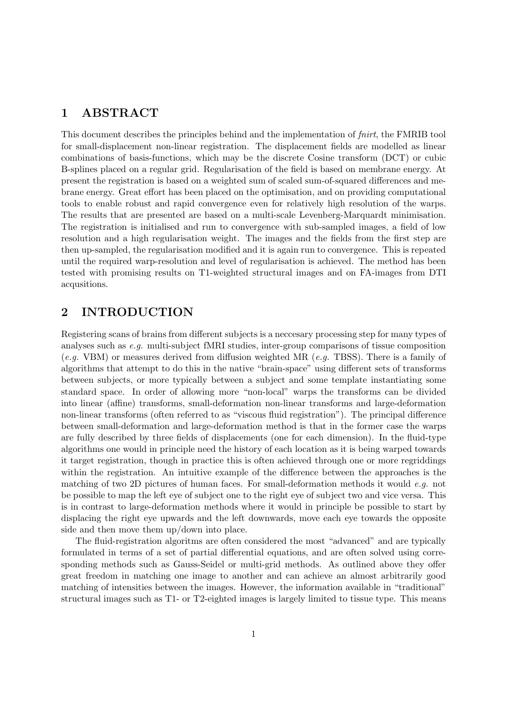### 1 ABSTRACT

This document describes the principles behind and the implementation of fnirt, the FMRIB tool for small-displacement non-linear registration. The displacement fields are modelled as linear combinations of basis-functions, which may be the discrete Cosine transform (DCT) or cubic B-splines placed on a regular grid. Regularisation of the field is based on membrane energy. At present the registration is based on a weighted sum of scaled sum-of-squared differences and mebrane energy. Great effort has been placed on the optimisation, and on providing computational tools to enable robust and rapid convergence even for relatively high resolution of the warps. The results that are presented are based on a multi-scale Levenberg-Marquardt minimisation. The registration is initialised and run to convergence with sub-sampled images, a field of low resolution and a high regularisation weight. The images and the fields from the first step are then up-sampled, the regularisation modified and it is again run to convergence. This is repeated until the required warp-resolution and level of regularisation is achieved. The method has been tested with promising results on T1-weighted structural images and on FA-images from DTI acqusitions.

# 2 INTRODUCTION

Registering scans of brains from different subjects is a neccesary processing step for many types of analyses such as e.g. multi-subject fMRI studies, inter-group comparisons of tissue composition (e.g. VBM) or measures derived from diffusion weighted MR (e.g. TBSS). There is a family of algorithms that attempt to do this in the native "brain-space" using different sets of transforms between subjects, or more typically between a subject and some template instantiating some standard space. In order of allowing more "non-local" warps the transforms can be divided into linear (affine) transforms, small-deformation non-linear transforms and large-deformation non-linear transforms (often referred to as "viscous fluid registration"). The principal difference between small-deformation and large-deformation method is that in the former case the warps are fully described by three fields of displacements (one for each dimension). In the fluid-type algorithms one would in principle need the history of each location as it is being warped towards it target registration, though in practice this is often achieved through one or more regriddings within the registration. An intuitive example of the difference between the approaches is the matching of two 2D pictures of human faces. For small-deformation methods it would e.g. not be possible to map the left eye of subject one to the right eye of subject two and vice versa. This is in contrast to large-deformation methods where it would in principle be possible to start by displacing the right eye upwards and the left downwards, move each eye towards the opposite side and then move them up/down into place.

The fluid-registration algoritms are often considered the most "advanced" and are typically formulated in terms of a set of partial differential equations, and are often solved using corresponding methods such as Gauss-Seidel or multi-grid methods. As outlined above they offer great freedom in matching one image to another and can achieve an almost arbitrarily good matching of intensities between the images. However, the information available in "traditional" structural images such as T1- or T2-eighted images is largely limited to tissue type. This means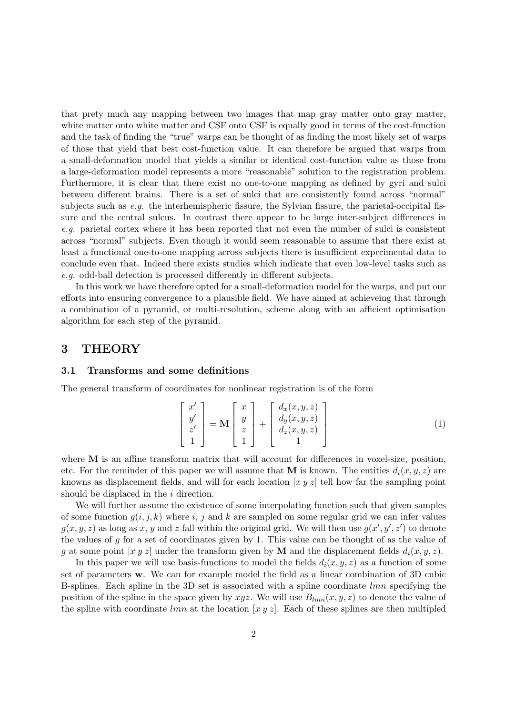that prety much any mapping between two images that map gray matter onto gray matter, white matter onto white matter and CSF onto CSF is equally good in terms of the cost-function and the task of finding the "true" warps can be thought of as finding the most likely set of warps of those that yield that best cost-function value. It can therefore be argued that warps from a small-deformation model that yields a similar or identical cost-function value as those from a large-deformation model represents a more "reasonable" solution to the registration problem. Furthermore, it is clear that there exist no one-to-one mapping as defined by gyri and sulci between different brains. There is a set of sulci that are consistently found across "normal" subjects such as  $e.g.$  the interhemispheric fissure, the Sylvian fissure, the parietal-occipital fissure and the central sulcus. In contrast there appear to be large inter-subject differences in e.g. parietal cortex where it has been reported that not even the number of sulci is consistent across "normal" subjects. Even though it would seem reasonable to assume that there exist at least a functional one-to-one mapping across subjects there is insufficient experimental data to conclude even that. Indeed there exists studies which indicate that even low-level tasks such as e.g. odd-ball detection is processed differently in different subjects.

In this work we have therefore opted for a small-deformation model for the warps, and put our efforts into ensuring convergence to a plausible field. We have aimed at achieveing that through a combination of a pyramid, or multi-resolution, scheme along with an afficient optimisation algorithm for each step of the pyramid.

## 3 THEORY

### 3.1 Transforms and some definitions

The general transform of coordinates for nonlinear registration is of the form

$$
\begin{bmatrix} x' \\ y' \\ z' \\ 1 \end{bmatrix} = \mathbf{M} \begin{bmatrix} x \\ y \\ z \\ 1 \end{bmatrix} + \begin{bmatrix} d_x(x, y, z) \\ d_y(x, y, z) \\ d_z(x, y, z) \\ 1 \end{bmatrix}
$$
(1)

where **M** is an affine transform matrix that will account for differences in voxel-size, position, etc. For the reminder of this paper we will assume that M is known. The entities  $d_i(x, y, z)$  are knowns as displacement fields, and will for each location  $[x y z]$  tell how far the sampling point should be displaced in the *i* direction.

We will further assume the existence of some interpolating function such that given samples of some function  $q(i, j, k)$  where i, j and k are sampled on some regular grid we can infer values  $g(x, y, z)$  as long as x, y and z fall within the original grid. We will then use  $g(x', y', z')$  to denote the values of  $g$  for a set of coordinates given by 1. This value can be thought of as the value of g at some point  $[x y z]$  under the transform given by **M** and the displacement fields  $d_i(x, y, z)$ .

In this paper we will use basis-functions to model the fields  $d_i(x, y, z)$  as a function of some set of parameters w. We can for example model the field as a linear combination of 3D cubic B-splines. Each spline in the 3D set is associated with a spline coordinate  $lmn$  specifying the position of the spline in the space given by xyz. We will use  $B_{lmn}(x, y, z)$  to denote the value of the spline with coordinate lmn at the location  $[x y z]$ . Each of these splines are then multipled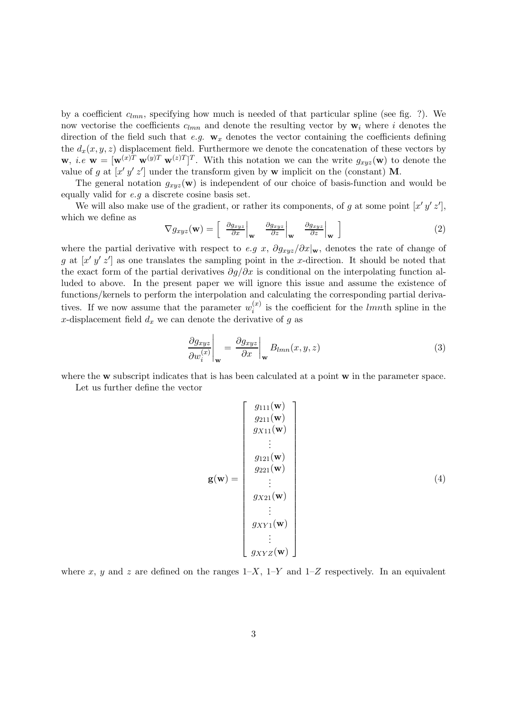by a coefficient  $c_{lmn}$ , specifying how much is needed of that particular spline (see fig. ?). We now vectorise the coefficients  $c_{lmn}$  and denote the resulting vector by  $\mathbf{w}_i$  where i denotes the direction of the field such that e.g.  $\mathbf{w}_x$  denotes the vector containing the coefficients defining the  $d_x(x, y, z)$  displacement field. Furthermore we denote the concatenation of these vectors by  $\mathbf{w}, i.e \mathbf{w} = [\mathbf{w}^{(x)T} \mathbf{w}^{(y)T} \mathbf{w}^{(z)T}]^T$ . With this notation we can the write  $g_{xyz}(\mathbf{w})$  to denote the value of g at  $[x'y' z']$  under the transform given by w implicit on the (constant) M.

The general notation  $g_{xyz}(\mathbf{w})$  is independent of our choice of basis-function and would be equally valid for  $e.g.$  a discrete cosine basis set.

We will also make use of the gradient, or rather its components, of g at some point  $[x'y'z']$ , which we define as

$$
\nabla g_{xyz}(\mathbf{w}) = \begin{bmatrix} \frac{\partial g_{xyz}}{\partial x} \Big|_{\mathbf{w}} & \frac{\partial g_{xyz}}{\partial z} \Big|_{\mathbf{w}} & \frac{\partial g_{xyz}}{\partial z} \Big|_{\mathbf{w}} \end{bmatrix} \tag{2}
$$

where the partial derivative with respect to e.g x,  $\partial g_{xyz}/\partial x|_{\mathbf{w}}$ , denotes the rate of change of g at  $[x'y'z']$  as one translates the sampling point in the x-direction. It should be noted that the exact form of the partial derivatives  $\partial g/\partial x$  is conditional on the interpolating function alluded to above. In the present paper we will ignore this issue and assume the existence of functions/kernels to perform the interpolation and calculating the corresponding partial derivatives. If we now assume that the parameter  $w_i^{(x)}$  $i^{(x)}$  is the coefficient for the *lmnth* spline in the x-displacement field  $d_x$  we can denote the derivative of g as

$$
\left. \frac{\partial g_{xyz}}{\partial w_i^{(x)}} \right|_{\mathbf{w}} = \left. \frac{\partial g_{xyz}}{\partial x} \right|_{\mathbf{w}} B_{lmn}(x, y, z) \tag{3}
$$

where the **w** subscript indicates that is has been calculated at a point **w** in the parameter space.

Let us further define the vector

$$
\mathbf{g}(\mathbf{w}) = \begin{bmatrix} g_{111}(\mathbf{w}) \\ g_{211}(\mathbf{w}) \\ g_{X11}(\mathbf{w}) \\ \vdots \\ g_{121}(\mathbf{w}) \\ g_{221}(\mathbf{w}) \\ \vdots \\ g_{X21}(\mathbf{w}) \\ \vdots \\ g_{XY1}(\mathbf{w}) \\ \vdots \\ g_{XYZ}(\mathbf{w}) \end{bmatrix}
$$
 (4)

where x, y and z are defined on the ranges  $1-X$ ,  $1-Y$  and  $1-Z$  respectively. In an equivalent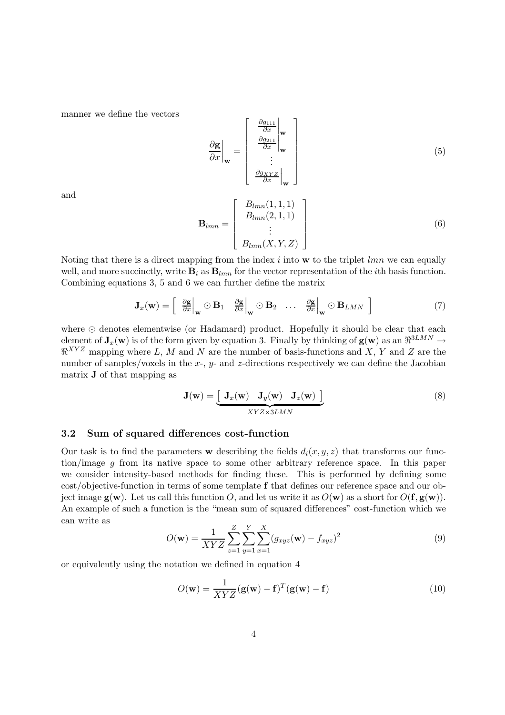manner we define the vectors

$$
\frac{\partial \mathbf{g}}{\partial x}\Big|_{\mathbf{w}} = \begin{bmatrix} \frac{\partial g_{111}}{\partial x} \Big|_{\mathbf{w}} \\ \frac{\partial g_{211}}{\partial x} \Big|_{\mathbf{w}} \\ \vdots \\ \frac{\partial g_{XYZ}}{\partial x} \Big|_{\mathbf{w}} \end{bmatrix}
$$
(5)

and

$$
\mathbf{B}_{lmn} = \begin{bmatrix} B_{lmn}(1,1,1) \\ B_{lmn}(2,1,1) \\ \vdots \\ B_{lmn}(X,Y,Z) \end{bmatrix}
$$
(6)

Noting that there is a direct mapping from the index  $i$  into  $\bf{w}$  to the triplet  $lmn$  we can equally well, and more succinctly, write  $\mathbf{B}_i$  as  $\mathbf{B}_{lmn}$  for the vector representation of the *i*th basis function. Combining equations 3, 5 and 6 we can further define the matrix

$$
\mathbf{J}_{x}(\mathbf{w}) = \begin{bmatrix} \frac{\partial \mathbf{g}}{\partial x} \Big|_{\mathbf{w}} \odot \mathbf{B}_{1} & \frac{\partial \mathbf{g}}{\partial x} \Big|_{\mathbf{w}} \odot \mathbf{B}_{2} & \dots & \frac{\partial \mathbf{g}}{\partial x} \Big|_{\mathbf{w}} \odot \mathbf{B}_{LMN} \end{bmatrix}
$$
(7)

where  $\odot$  denotes elementwise (or Hadamard) product. Hopefully it should be clear that each element of  $J_x(w)$  is of the form given by equation 3. Finally by thinking of  $g(w)$  as an  $\mathfrak{R}^{3LMN} \to$  $\mathbb{R}^{XYZ}$  mapping where L, M and N are the number of basis-functions and X, Y and Z are the number of samples/voxels in the  $x$ -,  $y$ - and  $z$ -directions respectively we can define the Jacobian matrix J of that mapping as

$$
\mathbf{J}(\mathbf{w}) = \underbrace{\begin{bmatrix} \mathbf{J}_x(\mathbf{w}) & \mathbf{J}_y(\mathbf{w}) & \mathbf{J}_z(\mathbf{w}) \end{bmatrix}}_{XYZ \times 3LMN}
$$
(8)

### 3.2 Sum of squared differences cost-function

Our task is to find the parameters w describing the fields  $d_i(x, y, z)$  that transforms our function/image g from its native space to some other arbitrary reference space. In this paper we consider intensity-based methods for finding these. This is performed by defining some cost/objective-function in terms of some template f that defines our reference space and our object image  $g(w)$ . Let us call this function O, and let us write it as  $O(w)$  as a short for  $O(f, g(w))$ . An example of such a function is the "mean sum of squared differences" cost-function which we can write as

$$
O(\mathbf{w}) = \frac{1}{XYZ} \sum_{z=1}^{Z} \sum_{y=1}^{Y} \sum_{x=1}^{X} (g_{xyz}(\mathbf{w}) - f_{xyz})^2
$$
(9)

or equivalently using the notation we defined in equation 4

$$
O(\mathbf{w}) = \frac{1}{XYZ} (\mathbf{g}(\mathbf{w}) - \mathbf{f})^T (\mathbf{g}(\mathbf{w}) - \mathbf{f})
$$
(10)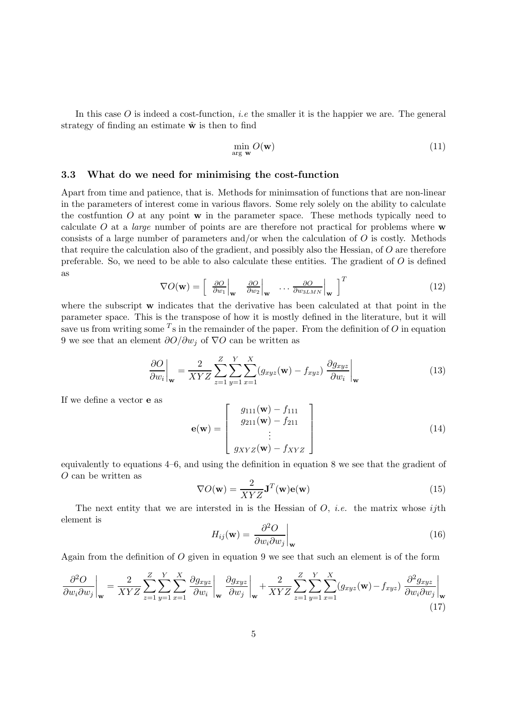In this case O is indeed a cost-function, *i.e* the smaller it is the happier we are. The general strategy of finding an estimate  $\hat{\mathbf{w}}$  is then to find

$$
\min_{\arg \mathbf{w}} O(\mathbf{w}) \tag{11}
$$

### 3.3 What do we need for minimising the cost-function

Apart from time and patience, that is. Methods for minimsation of functions that are non-linear in the parameters of interest come in various flavors. Some rely solely on the ability to calculate the cost function  $O$  at any point  $\bf{w}$  in the parameter space. These methods typically need to calculate  $O$  at a *large* number of points are are therefore not practical for problems where  $\bf{w}$ consists of a large number of parameters and/or when the calculation of  $\overline{O}$  is costly. Methods that require the calculation also of the gradient, and possibly also the Hessian, of O are therefore preferable. So, we need to be able to also calculate these entities. The gradient of  $O$  is defined as

$$
\nabla O(\mathbf{w}) = \begin{bmatrix} \frac{\partial O}{\partial w_1} \Big|_{\mathbf{w}} & \frac{\partial O}{\partial w_2} \Big|_{\mathbf{w}} & \cdots & \frac{\partial O}{\partial w_{3LMN}} \Big|_{\mathbf{w}} \end{bmatrix}^T
$$
(12)

where the subscript w indicates that the derivative has been calculated at that point in the parameter space. This is the transpose of how it is mostly defined in the literature, but it will save us from writing some  $^T$ s in the remainder of the paper. From the definition of O in equation 9 we see that an element  $\partial O/\partial w_i$  of  $\nabla O$  can be written as

$$
\left. \frac{\partial O}{\partial w_i} \right|_{\mathbf{w}} = \frac{2}{XYZ} \sum_{z=1}^{Z} \sum_{y=1}^{Y} \sum_{x=1}^{X} (g_{xyz}(\mathbf{w}) - f_{xyz}) \left. \frac{\partial g_{xyz}}{\partial w_i} \right|_{\mathbf{w}} \tag{13}
$$

If we define a vector e as

$$
\mathbf{e}(\mathbf{w}) = \begin{bmatrix} g_{111}(\mathbf{w}) - f_{111} \\ g_{211}(\mathbf{w}) - f_{211} \\ \vdots \\ g_{XYZ}(\mathbf{w}) - f_{XYZ} \end{bmatrix}
$$
(14)

equivalently to equations 4–6, and using the definition in equation 8 we see that the gradient of O can be written as

$$
\nabla O(\mathbf{w}) = \frac{2}{XYZ} \mathbf{J}^T(\mathbf{w}) \mathbf{e}(\mathbf{w})
$$
\n(15)

The next entity that we are intersted in is the Hessian of  $O$ , *i.e.* the matrix whose *ij*th element is

$$
H_{ij}(\mathbf{w}) = \left. \frac{\partial^2 O}{\partial w_i \partial w_j} \right|_{\mathbf{w}} \tag{16}
$$

Again from the definition of O given in equation 9 we see that such an element is of the form

$$
\frac{\partial^2 O}{\partial w_i \partial w_j}\Big|_{\mathbf{w}} = \frac{2}{XYZ} \sum_{z=1}^{Z} \sum_{y=1}^{Y} \sum_{x=1}^{X} \frac{\partial g_{xyz}}{\partial w_i}\Big|_{\mathbf{w}} \frac{\partial g_{xyz}}{\partial w_j}\Big|_{\mathbf{w}} + \frac{2}{XYZ} \sum_{z=1}^{Z} \sum_{y=1}^{Y} \sum_{x=1}^{X} (g_{xyz}(\mathbf{w}) - f_{xyz}) \frac{\partial^2 g_{xyz}}{\partial w_i \partial w_j}\Big|_{\mathbf{w}} \tag{17}
$$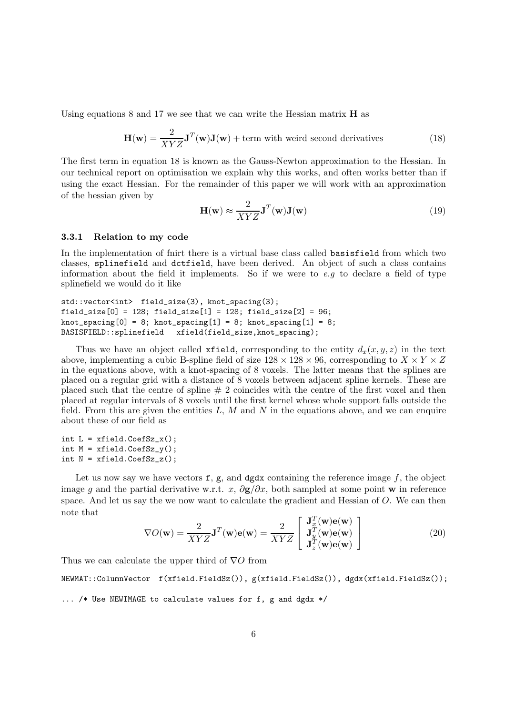Using equations 8 and 17 we see that we can write the Hessian matrix  $\bf{H}$  as

$$
\mathbf{H}(\mathbf{w}) = \frac{2}{XYZ}\mathbf{J}^T(\mathbf{w})\mathbf{J}(\mathbf{w}) + \text{term with weird second derivatives}
$$
 (18)

The first term in equation 18 is known as the Gauss-Newton approximation to the Hessian. In our technical report on optimisation we explain why this works, and often works better than if using the exact Hessian. For the remainder of this paper we will work with an approximation of the hessian given by

$$
\mathbf{H}(\mathbf{w}) \approx \frac{2}{XYZ} \mathbf{J}^T(\mathbf{w}) \mathbf{J}(\mathbf{w})
$$
\n(19)

### 3.3.1 Relation to my code

In the implementation of fnirt there is a virtual base class called basisfield from which two classes, splinefield and dctfield, have been derived. An object of such a class contains information about the field it implements. So if we were to  $e.g$  to declare a field of type splinefield we would do it like

```
std::vector<int> field_size(3), knot_spacing(3);
field_size[0] = 128; field_size[1] = 128; field_size[2] = 96;
knot_spacing[0] = 8; knot_spacing[1] = 8; knot_spacing[1] = 8;
BASISFIELD::splinefield xfield(field_size,knot_spacing);
```
Thus we have an object called **xfield**, corresponding to the entity  $d_x(x, y, z)$  in the text above, implementing a cubic B-spline field of size  $128 \times 128 \times 96$ , corresponding to  $X \times Y \times Z$ in the equations above, with a knot-spacing of 8 voxels. The latter means that the splines are placed on a regular grid with a distance of 8 voxels between adjacent spline kernels. These are placed such that the centre of spline  $# 2$  coincides with the centre of the first voxel and then placed at regular intervals of 8 voxels until the first kernel whose whole support falls outside the field. From this are given the entities  $L, M$  and  $N$  in the equations above, and we can enquire about these of our field as

int  $L = xfield.CoefSz_x()$ ; int  $M = xfield.CoefSz_y()$ ; int  $N = xfield.CoefSz_z(z)$ ;

Let us now say we have vectors  $f$ ,  $g$ , and dgdx containing the reference image  $f$ , the object image q and the partial derivative w.r.t. x,  $\partial \mathbf{g}/\partial x$ , both sampled at some point w in reference space. And let us say the we now want to calculate the gradient and Hessian of O. We can then note that

$$
\nabla O(\mathbf{w}) = \frac{2}{XYZ} \mathbf{J}^T(\mathbf{w}) \mathbf{e}(\mathbf{w}) = \frac{2}{XYZ} \begin{bmatrix} \mathbf{J}_x^T(\mathbf{w}) \mathbf{e}(\mathbf{w}) \\ \mathbf{J}_y^T(\mathbf{w}) \mathbf{e}(\mathbf{w}) \\ \mathbf{J}_z^T(\mathbf{w}) \mathbf{e}(\mathbf{w}) \end{bmatrix}
$$
(20)

Thus we can calculate the upper third of  $\nabla O$  from

NEWMAT::ColumnVector f(xfield.FieldSz()), g(xfield.FieldSz()), dgdx(xfield.FieldSz());

... /\* Use NEWIMAGE to calculate values for f, g and dgdx \*/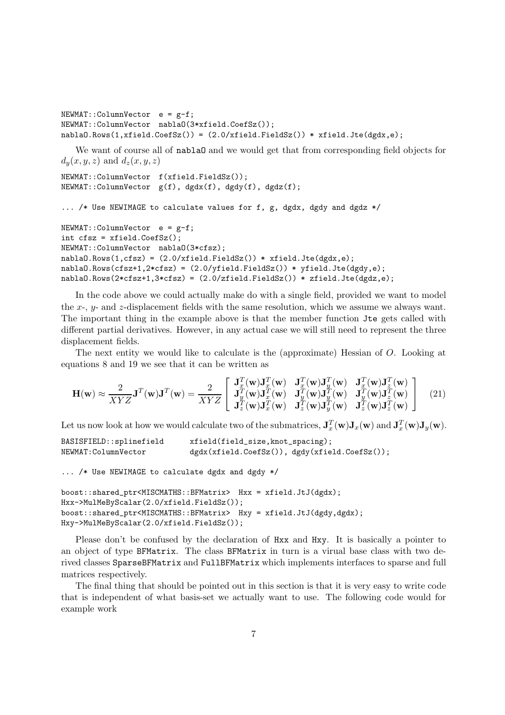```
NEWMAT::ColumnVector e = g-f;NEWMAT::ColumnVector nablaO(3*xfield.CoefSz());
nablaO.Rows(1,xfield.CoefSz()) = (2.0/\text{xfield.FieldSz})) * xfield.Jte(dgdx,e);
```
We want of course all of **nablaO** and we would get that from corresponding field objects for  $d_y(x, y, z)$  and  $d_z(x, y, z)$ 

```
NEWMAT::ColumnVector f(xfield.FieldSz());
NEWMAT::ColumnVector g(f), dgdx(f), dgdy(f), dgdz(f);
```
... /\* Use NEWIMAGE to calculate values for f, g, dgdx, dgdy and dgdz \*/

```
NEWMAT::ColumnVector e = g-f;
int cfsz = xfield.CoefSz();
NEWMAT::ColumnVector nablaO(3*cfsz);
nablaO.Rows(1,cfsz) = (2.0/xfield.FieldSz()) * xfield.Jte(dgdx,e);
nablaO.Rows(cfsz+1,2*cfsz) = (2.0/\text{yfield.Fieldsz})) * \text{yfield.Jte(dgdy,e)};
nablaO.Rows(2*cfsz+1,3*cfsz) = (2.0/zfield.FieldSz()) * zfield.Jte(dgdz,e);
```
In the code above we could actually make do with a single field, provided we want to model the x-, y- and z-displacement fields with the same resolution, which we assume we always want. The important thing in the example above is that the member function Jte gets called with different partial derivatives. However, in any actual case we will still need to represent the three displacement fields.

The next entity we would like to calculate is the (approximate) Hessian of O. Looking at equations 8 and 19 we see that it can be written as

$$
\mathbf{H}(\mathbf{w}) \approx \frac{2}{XYZ} \mathbf{J}^T(\mathbf{w}) \mathbf{J}^T(\mathbf{w}) = \frac{2}{XYZ} \begin{bmatrix} \mathbf{J}_x^T(\mathbf{w}) \mathbf{J}_x^T(\mathbf{w}) & \mathbf{J}_x^T(\mathbf{w}) \mathbf{J}_y^T(\mathbf{w}) & \mathbf{J}_x^T(\mathbf{w}) \mathbf{J}_z^T(\mathbf{w}) \\ \mathbf{J}_y^T(\mathbf{w}) \mathbf{J}_x^T(\mathbf{w}) & \mathbf{J}_y^T(\mathbf{w}) \mathbf{J}_y^T(\mathbf{w}) & \mathbf{J}_y^T(\mathbf{w}) \mathbf{J}_z^T(\mathbf{w}) \\ \mathbf{J}_z^T(\mathbf{w}) \mathbf{J}_x^T(\mathbf{w}) & \mathbf{J}_z^T(\mathbf{w}) \mathbf{J}_z^T(\mathbf{w}) & \mathbf{J}_z^T(\mathbf{w}) \mathbf{J}_z^T(\mathbf{w}) \end{bmatrix} \tag{21}
$$

Let us now look at how we would calculate two of the submatrices,  $\mathbf{J}_x^T(\mathbf{w})\mathbf{J}_x(\mathbf{w})$  and  $\mathbf{J}_x^T(\mathbf{w})\mathbf{J}_y(\mathbf{w})$ .

BASISFIELD::splinefield xfield(field\_size,knot\_spacing); NEWMAT:ColumnVector dgdx(xfield.CoefSz()), dgdy(xfield.CoefSz());

... /\* Use NEWIMAGE to calculate dgdx and dgdy \*/

```
boost::shared_ptr<MISCMATHS::BFMatrix> Hxx = xfield.JtJ(dgdx);
Hxx->MulMeByScalar(2.0/xfield.FieldSz());
boost::shared_ptr<MISCMATHS::BFMatrix> Hxy = xfield.JtJ(dgdy,dgdx);
Hxy->MulMeByScalar(2.0/xfield.FieldSz());
```
Please don't be confused by the declaration of Hxx and Hxy. It is basically a pointer to an object of type BFMatrix. The class BFMatrix in turn is a virual base class with two derived classes SparseBFMatrix and FullBFMatrix which implements interfaces to sparse and full matrices respectively.

The final thing that should be pointed out in this section is that it is very easy to write code that is independent of what basis-set we actually want to use. The following code would for example work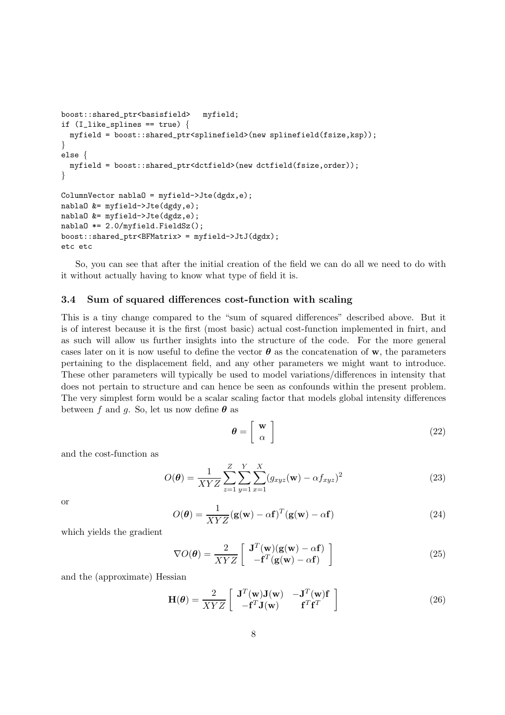```
boost::shared_ptr<basisfield> myfield;
if (I_1like_splines == true) {
 myfield = boost::shared_ptr<splinefield>(new splinefield(fsize,ksp));
}
else {
 myfield = boost::shared_ptr<dctfield>(new dctfield(fsize,order));
}
ColumnVector nablaO = myfield->Jte(dgdx,e);
nablaO &= myfield->Jte(dgdy,e);
nablaO &= myfield->Jte(dgdz,e);
nablaO *= 2.0/myfield.FieldSz();
boost::shared_ptr<BFMatrix> = myfield->JtJ(dgdx);
etc etc
```
So, you can see that after the initial creation of the field we can do all we need to do with it without actually having to know what type of field it is.

#### 3.4 Sum of squared differences cost-function with scaling

This is a tiny change compared to the "sum of squared differences" described above. But it is of interest because it is the first (most basic) actual cost-function implemented in fnirt, and as such will allow us further insights into the structure of the code. For the more general cases later on it is now useful to define the vector  $\theta$  as the concatenation of w, the parameters pertaining to the displacement field, and any other parameters we might want to introduce. These other parameters will typically be used to model variations/differences in intensity that does not pertain to structure and can hence be seen as confounds within the present problem. The very simplest form would be a scalar scaling factor that models global intensity differences between f and g. So, let us now define  $\theta$  as

$$
\boldsymbol{\theta} = \left[ \begin{array}{c} \mathbf{w} \\ \alpha \end{array} \right] \tag{22}
$$

and the cost-function as

$$
O(\theta) = \frac{1}{XYZ} \sum_{z=1}^{Z} \sum_{y=1}^{Y} \sum_{x=1}^{X} (g_{xyz}(\mathbf{w}) - \alpha f_{xyz})^2
$$
 (23)

or

$$
O(\boldsymbol{\theta}) = \frac{1}{XYZ} (\mathbf{g}(\mathbf{w}) - \alpha \mathbf{f})^T (\mathbf{g}(\mathbf{w}) - \alpha \mathbf{f})
$$
(24)

which yields the gradient

$$
\nabla O(\theta) = \frac{2}{XYZ} \left[ \begin{array}{c} \mathbf{J}^T(\mathbf{w})(\mathbf{g}(\mathbf{w}) - \alpha \mathbf{f}) \\ -\mathbf{f}^T(\mathbf{g}(\mathbf{w}) - \alpha \mathbf{f}) \end{array} \right] \tag{25}
$$

and the (approximate) Hessian

$$
\mathbf{H}(\boldsymbol{\theta}) = \frac{2}{XYZ} \begin{bmatrix} \mathbf{J}^T(\mathbf{w})\mathbf{J}(\mathbf{w}) & -\mathbf{J}^T(\mathbf{w})\mathbf{f} \\ -\mathbf{f}^T\mathbf{J}(\mathbf{w}) & \mathbf{f}^T\mathbf{f}^T \end{bmatrix}
$$
(26)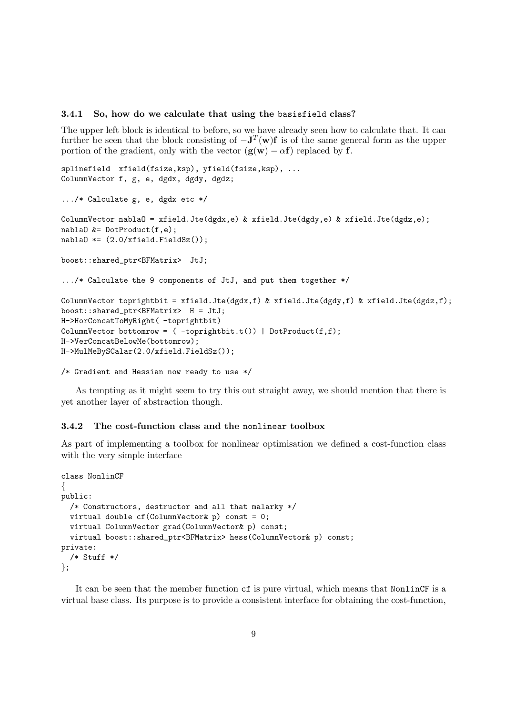#### 3.4.1 So, how do we calculate that using the basisfield class?

The upper left block is identical to before, so we have already seen how to calculate that. It can further be seen that the block consisting of  $-J<sup>T</sup>(w)f$  is of the same general form as the upper portion of the gradient, only with the vector  $(g(w) - \alpha f)$  replaced by f.

```
splinefield xfield(fsize,ksp), yfield(fsize,ksp), ...
ColumnVector f, g, e, dgdx, dgdy, dgdz;
.../* Calculate g, e, dgdx etc */
ColumnVector nablaO = xfield.Jte(dgdx,e) & xfield.Jte(dgdy,e) & xfield.Jte(dgdz,e);
nablaO &= DotProduct(f,e);
nabla0 *= (2.0/xfield.Fieldsz());
boost::shared_ptr<BFMatrix> JtJ;
.../* Calculate the 9 components of JtJ, and put them together */
ColumnVector toprightbit = xfield.Jte(dgdx,f) & xfield.Jte(dgdy,f) & xfield.Jte(dgdz,f);
boost::shared_ptr<BFMatrix> H = JtJ;
H->HorConcatToMyRight( -toprightbit)
ColumnVector bottomrow = ( -toprightbit.t()) | DotProduct(f, f);
H->VerConcatBelowMe(bottomrow);
H->MulMeBySCalar(2.0/xfield.FieldSz());
```

```
/* Gradient and Hessian now ready to use */
```
As tempting as it might seem to try this out straight away, we should mention that there is yet another layer of abstraction though.

### 3.4.2 The cost-function class and the nonlinear toolbox

As part of implementing a toolbox for nonlinear optimisation we defined a cost-function class with the very simple interface

```
class NonlinCF
{
public:
  /* Constructors, destructor and all that malarky */
  virtual double cf(ColumnVector& p) const = 0;
  virtual ColumnVector grad(ColumnVector& p) const;
  virtual boost::shared_ptr<BFMatrix> hess(ColumnVector& p) const;
private:
  /* Stuff */
};
```
It can be seen that the member function cf is pure virtual, which means that NonlinCF is a virtual base class. Its purpose is to provide a consistent interface for obtaining the cost-function,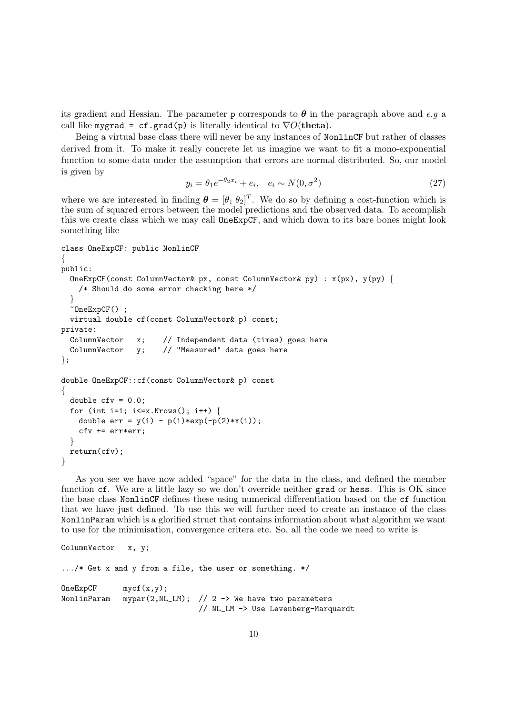its gradient and Hessian. The parameter p corresponds to  $\theta$  in the paragraph above and e.g a call like mygrad = cf.grad(p) is literally identical to  $\nabla O(\mathbf{theta})$ .

Being a virtual base class there will never be any instances of NonlinCF but rather of classes derived from it. To make it really concrete let us imagine we want to fit a mono-exponential function to some data under the assumption that errors are normal distributed. So, our model is given by

$$
y_i = \theta_1 e^{-\theta_2 x_i} + e_i, \quad e_i \sim N(0, \sigma^2)
$$
\n(27)

where we are interested in finding  $\boldsymbol{\theta} = [\theta_1 \ \theta_2]^T$ . We do so by defining a cost-function which is the sum of squared errors between the model predictions and the observed data. To accomplish this we create class which we may call OneExpCF, and which down to its bare bones might look something like

```
class OneExpCF: public NonlinCF
{
public:
 OneExpCF(const ColumnVector& px, const ColumnVector& py) : x(px), y(py) {
    /* Should do some error checking here */
  }
  ~OneExpCF() ;
 virtual double cf(const ColumnVector& p) const;
private:
 ColumnVector x; // Independent data (times) goes here
 ColumnVector y; // "Measured" data goes here
};
double OneExpCF::cf(const ColumnVector& p) const
{
 double cfv = 0.0;
 for (int i=1; i \le x.Nrows(); i++) {
   double err = y(i) - p(1) * exp(-p(2) * x(i));cfv += err*err;
  }
 return(cfv);
}
```
As you see we have now added "space" for the data in the class, and defined the member function cf. We are a little lazy so we don't override neither grad or hess. This is OK since the base class NonlinCF defines these using numerical differentiation based on the cf function that we have just defined. To use this we will further need to create an instance of the class NonlinParam which is a glorified struct that contains information about what algorithm we want to use for the minimisation, convergence critera etc. So, all the code we need to write is

```
ColumnVector x, y;
.../* Get x and y from a file, the user or something. */
OneExpCF mycf(x,y);
NonlinParam mypar(2, NL_LM); // 2 -> We have two parameters
                              // NL_LM -> Use Levenberg-Marquardt
```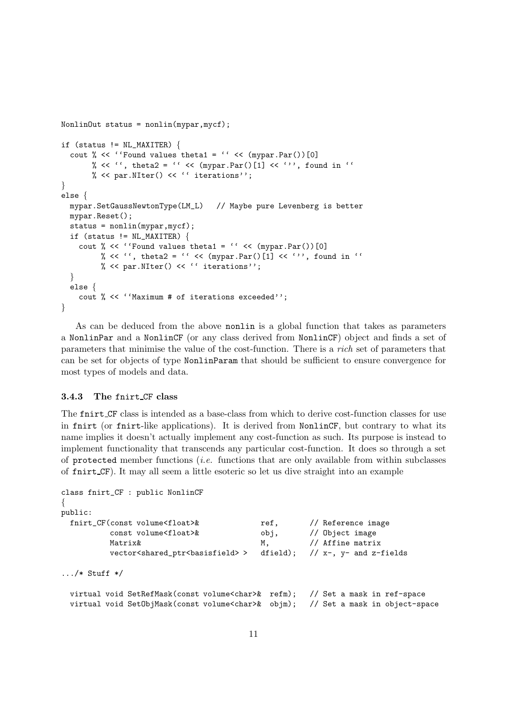```
NonlinOut status = nonlin(mypar,mycf);
if (status != NL_MAXITER) {
  cout % << ''Found values theta1 = '' << (mypar.Par())[0]% << '', theta2 = '' << (mypar.Par()[1] << ''', found in ''
      % << par. NIter() << '' iterations'';
}
else {
 mypar.SetGaussNewtonType(LM_L) // Maybe pure Levenberg is better
 mypar.Reset();
  status = nonlin(mypar,mycf);
  if (status != NL_MAXITER) {
    cout % << ''Found values theta1 = '' << (mypar.Par())[0]% << '', theta2 = '' << (mypar.Par()[1] << ''', found in ''
         % << par. NIter() << '' iterations'';
  }
  else {
   cout % << ''Maximum # of iterations exceeded'';
}
```
As can be deduced from the above nonlin is a global function that takes as parameters a NonlinPar and a NonlinCF (or any class derived from NonlinCF) object and finds a set of parameters that minimise the value of the cost-function. There is a rich set of parameters that can be set for objects of type NonlinParam that should be sufficient to ensure convergence for most types of models and data.

### 3.4.3 The fnirt CF class

The fnirt CF class is intended as a base-class from which to derive cost-function classes for use in fnirt (or fnirt-like applications). It is derived from NonlinCF, but contrary to what its name implies it doesn't actually implement any cost-function as such. Its purpose is instead to implement functionality that transcends any particular cost-function. It does so through a set of protected member functions (*i.e.* functions that are only available from within subclasses of fnirt CF). It may all seem a little esoteric so let us dive straight into an example

```
class fnirt_CF : public NonlinCF
\left\{ \right.public:
 fnirt_CF(const volume<float>& ref, // Reference image
          const volume<float>& obj, // Object image
          Matrix& M, \frac{M}{I} M, \frac{M}{I} Affine matrix
          vector<shared_ptr<br/>basisfield>>dirad); // x-, y- and z-fields
\ldots/* Stuff */
 virtual void SetRefMask(const volume<char>& refm); // Set a mask in ref-space
 virtual void SetObjMask(const volume<char>& objm); // Set a mask in object-space
```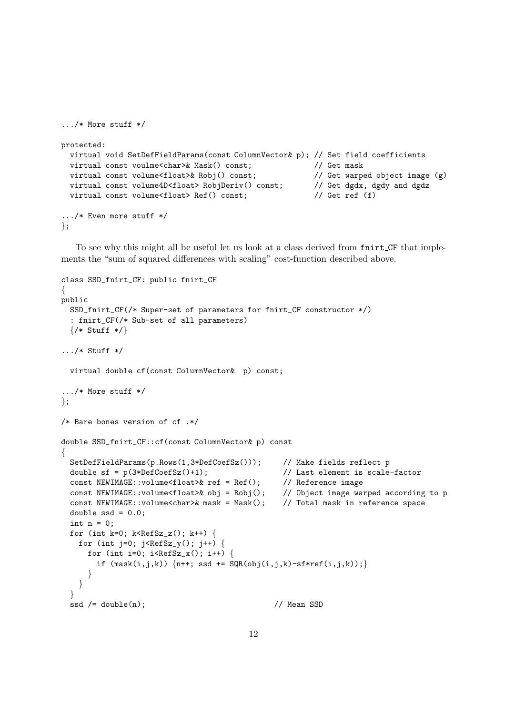```
.../* More stuff */
protected:
 virtual void SetDefFieldParams(const ColumnVector& p); // Set field coefficients
 virtual const voulme<char>& Mask() const; // Get mask
 virtual const volume<float>& Robj() const; // Get warped object image (g)
 virtual const volume4D<float> RobjDeriv() const; // Get dgdx, dgdy and dgdz
 virtual const volume<float> Ref() const; \frac{1}{10} Get ref (f)
.../* Even more stuff */
};
```
To see why this might all be useful let us look at a class derived from fnirt CF that implements the "sum of squared differences with scaling" cost-function described above.

```
class SSD_fnirt_CF: public fnirt_CF
{
public
 SSD_fnirt_CF(/* Super-set of parameters for fnirt_CF constructor */)
  : fnirt_CF(/* Sub-set of all parameters)
 \{/* Stuff */\}\ldots/* Stuff */
 virtual double cf(const ColumnVector& p) const;
.../* More stuff */
\};
/* Bare bones version of cf .*/
double SSD_fnirt_CF::cf(const ColumnVector& p) const
{
 SetDefFieldParams(p.Rows(1,3*DefCoefSz())); // Make fields reflect p
 double sf = p(3*DefCoefSz() + 1); // Last element is scale-factor
 const NEWIMAGE::volume<float>& ref = Ref(); // Reference image
  const NEWIMAGE::volume<float>& obj = Robj(); // Object image warped according to p
  const NEWIMAGE::volume<char>& mask = Mask(); // Total mask in reference space
 double ssd = 0.0;
 int n = 0;
 for (int k=0; k<sup>R</sup>efSz_z(); k++) {
   for (int j=0; j<Refsz_y(); j++) {
     for (int i=0; i<RefSz_x(); i++) {
       if (maxk(i,j,k)) \{n++; ssd += SQR(obj(i,j,k)-sf*ref(i,j,k));\}}
   }
  }
  ssd /= double(n); // Mean SSD
```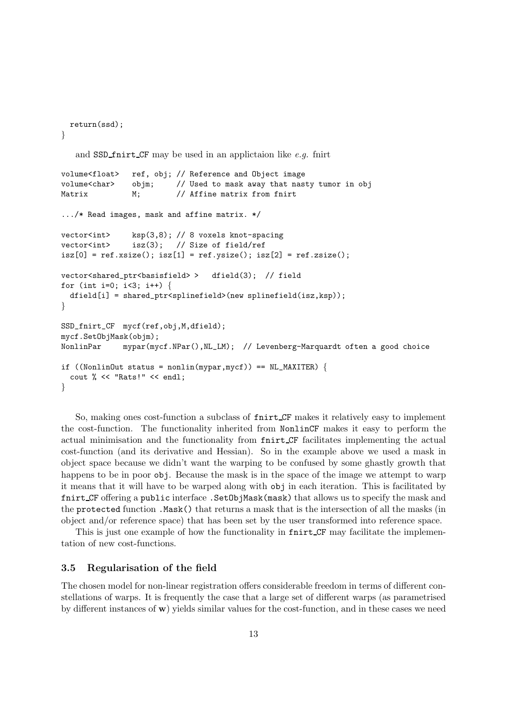```
return(ssd);
}
```
and SSD finitum CF may be used in an applictaion like  $e.g.$  finitum

```
volume<float> ref, obj; // Reference and Object image
volume<char> objm; // Used to mask away that nasty tumor in obj
Matrix M; \frac{1}{2} // Affine matrix from fnirt
.../* Read images, mask and affine matrix. */
vector<int> ksp(3,8); // 8 voxels knot-spacing
vector<int> isz(3); // Size of field/ref
isz[0] = ref.xsize(); isz[1] = ref.ysize(); isz[2] = ref.zsize();vector<shared_ptr<br/>basisfield>> dfield(3); // field
for (int i=0; i<3; i++) {
 dfield[i] = shared_ptr<splinefield>(new splinefield(isz,ksp));
}
SSD_fnirt_CF mycf(ref,obj,M,dfield);
mycf.SetObjMask(objm);
NonlinPar mypar(mycf.NPar(),NL_LM); // Levenberg-Marquardt often a good choice
if ((NonlinOut status = nonlin(mypar,mycf)) == NL_MAXITER)cout % << "Rats!" << endl;
}
```
So, making ones cost-function a subclass of fnirt CF makes it relatively easy to implement the cost-function. The functionality inherited from NonlinCF makes it easy to perform the actual minimisation and the functionality from fnirt CF facilitates implementing the actual cost-function (and its derivative and Hessian). So in the example above we used a mask in object space because we didn't want the warping to be confused by some ghastly growth that happens to be in poor  $\delta$ . Because the mask is in the space of the image we attempt to warp it means that it will have to be warped along with obj in each iteration. This is facilitated by fnirt CF offering a public interface . SetObjMask(mask) that allows us to specify the mask and the protected function .Mask() that returns a mask that is the intersection of all the masks (in object and/or reference space) that has been set by the user transformed into reference space.

This is just one example of how the functionality in functional field may facilitate the implementation of new cost-functions.

### 3.5 Regularisation of the field

The chosen model for non-linear registration offers considerable freedom in terms of different constellations of warps. It is frequently the case that a large set of different warps (as parametrised by different instances of w) yields similar values for the cost-function, and in these cases we need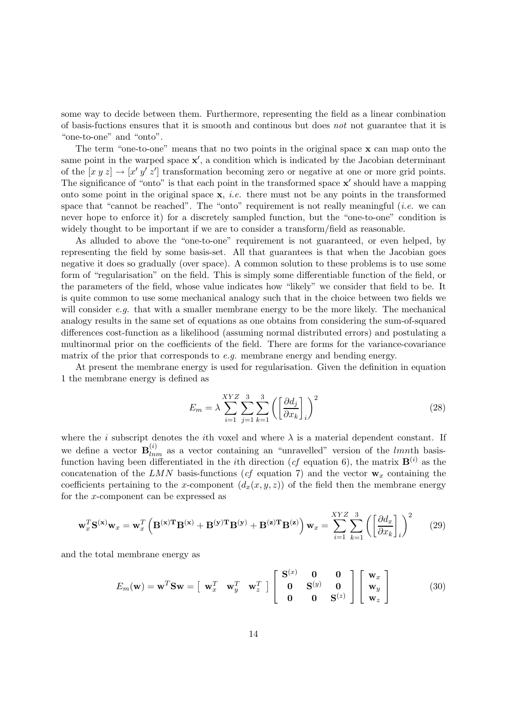some way to decide between them. Furthermore, representing the field as a linear combination of basis-fuctions ensures that it is smooth and continous but does not not guarantee that it is "one-to-one" and "onto".

The term "one-to-one" means that no two points in the original space x can map onto the same point in the warped space  $x'$ , a condition which is indicated by the Jacobian determinant of the  $[x y z] \rightarrow [x' y' z']$  transformation becoming zero or negative at one or more grid points. The significance of "onto" is that each point in the transformed space  $x'$  should have a mapping onto some point in the original space  $x$ , *i.e.* there must not be any points in the transformed space that "cannot be reached". The "onto" requirement is not really meaningful (*i.e.* we can never hope to enforce it) for a discretely sampled function, but the "one-to-one" condition is widely thought to be important if we are to consider a transform/field as reasonable.

As alluded to above the "one-to-one" requirement is not guaranteed, or even helped, by representing the field by some basis-set. All that guarantees is that when the Jacobian goes negative it does so gradually (over space). A common solution to these problems is to use some form of "regularisation" on the field. This is simply some differentiable function of the field, or the parameters of the field, whose value indicates how "likely" we consider that field to be. It is quite common to use some mechanical analogy such that in the choice between two fields we will consider e.g. that with a smaller membrane energy to be the more likely. The mechanical analogy results in the same set of equations as one obtains from considering the sum-of-squared differences cost-function as a likelihood (assuming normal distributed errors) and postulating a multinormal prior on the coefficients of the field. There are forms for the variance-covariance matrix of the prior that corresponds to  $e.g.$  membrane energy and bending energy.

At present the membrane energy is used for regularisation. Given the definition in equation 1 the membrane energy is defined as

$$
E_m = \lambda \sum_{i=1}^{XYZ} \sum_{j=1}^{3} \sum_{k=1}^{3} \left( \left[ \frac{\partial d_j}{\partial x_k} \right]_i \right)^2 \tag{28}
$$

where the *i* subscript denotes the *i*th voxel and where  $\lambda$  is a material dependent constant. If we define a vector  $\mathbf{B}_{lnm}^{(i)}$  as a vector containing an "unravelled" version of the lmnth basisfunction having been differentiated in the *i*th direction (*cf* equation 6), the matrix  $\mathbf{B}^{(i)}$  as the concatenation of the LMN basis-functions (cf equation 7) and the vector  $\mathbf{w}_x$  containing the coefficients pertaining to the x-component  $(d_x(x, y, z))$  of the field then the membrane energy for the x-component can be expressed as

$$
\mathbf{w}_x^T \mathbf{S}^{(\mathbf{x})} \mathbf{w}_x = \mathbf{w}_x^T \left( \mathbf{B}^{(\mathbf{x})T} \mathbf{B}^{(\mathbf{x})} + \mathbf{B}^{(\mathbf{y})T} \mathbf{B}^{(\mathbf{y})} + \mathbf{B}^{(\mathbf{z})T} \mathbf{B}^{(\mathbf{z})} \right) \mathbf{w}_x = \sum_{i=1}^{XYZ} \sum_{k=1}^3 \left( \left[ \frac{\partial d_x}{\partial x_k} \right]_i \right)^2 \tag{29}
$$

and the total membrane energy as

$$
E_m(\mathbf{w}) = \mathbf{w}^T \mathbf{S} \mathbf{w} = \begin{bmatrix} \mathbf{w}_x^T & \mathbf{w}_y^T & \mathbf{w}_z^T \end{bmatrix} \begin{bmatrix} \mathbf{S}^{(x)} & \mathbf{0} & \mathbf{0} \\ \mathbf{0} & \mathbf{S}^{(y)} & \mathbf{0} \\ \mathbf{0} & \mathbf{0} & \mathbf{S}^{(z)} \end{bmatrix} \begin{bmatrix} \mathbf{w}_x \\ \mathbf{w}_y \\ \mathbf{w}_z \end{bmatrix}
$$
(30)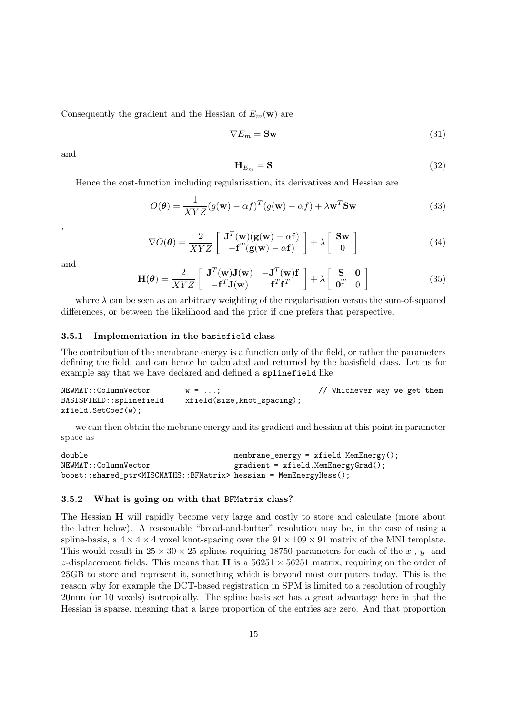Consequently the gradient and the Hessian of  $E_m(\mathbf{w})$  are

$$
\nabla E_m = \mathbf{Sw} \tag{31}
$$

and

$$
\mathbf{H}_{E_m} = \mathbf{S} \tag{32}
$$

Hence the cost-function including regularisation, its derivatives and Hessian are

$$
O(\boldsymbol{\theta}) = \frac{1}{XYZ}(g(\mathbf{w}) - \alpha f)^T(g(\mathbf{w}) - \alpha f) + \lambda \mathbf{w}^T \mathbf{S} \mathbf{w}
$$
\n(33)

,

$$
\nabla O(\boldsymbol{\theta}) = \frac{2}{XYZ} \left[ \begin{array}{c} \mathbf{J}^T(\mathbf{w})(\mathbf{g}(\mathbf{w}) - \alpha \mathbf{f}) \\ -\mathbf{f}^T(\mathbf{g}(\mathbf{w}) - \alpha \mathbf{f}) \end{array} \right] + \lambda \left[ \begin{array}{c} \mathbf{S}\mathbf{w} \\ 0 \end{array} \right] \tag{34}
$$

and

$$
\mathbf{H}(\boldsymbol{\theta}) = \frac{2}{XYZ} \begin{bmatrix} \mathbf{J}^T(\mathbf{w})\mathbf{J}(\mathbf{w}) & -\mathbf{J}^T(\mathbf{w})\mathbf{f} \\ -\mathbf{f}^T\mathbf{J}(\mathbf{w}) & \mathbf{f}^T\mathbf{f}^T \end{bmatrix} + \lambda \begin{bmatrix} \mathbf{S} & \mathbf{0} \\ \mathbf{0}^T & 0 \end{bmatrix}
$$
(35)

where  $\lambda$  can be seen as an arbitrary weighting of the regularisation versus the sum-of-squared differences, or between the likelihood and the prior if one prefers that perspective.

#### 3.5.1 Implementation in the basisfield class

The contribution of the membrane energy is a function only of the field, or rather the parameters defining the field, and can hence be calculated and returned by the basisfield class. Let us for example say that we have declared and defined a splinefield like

NEWMAT::ColumnVector  $w = ...;$  // Whichever way we get them BASISFIELD::splinefield xfield(size,knot\_spacing); xfield.SetCoef(w);

we can then obtain the mebrane energy and its gradient and hessian at this point in parameter space as

```
double membrane_energy = xfield.MemEnergy();
NEWMAT::ColumnVector gradient = xfield.MemEnergyGrad();
boost::shared_ptr<MISCMATHS::BFMatrix> hessian = MemEnergyHess();
```
#### 3.5.2 What is going on with that BFMatrix class?

The Hessian **H** will rapidly become very large and costly to store and calculate (more about the latter below). A reasonable "bread-and-butter" resolution may be, in the case of using a spline-basis, a  $4 \times 4 \times 4$  voxel knot-spacing over the  $91 \times 109 \times 91$  matrix of the MNI template. This would result in  $25 \times 30 \times 25$  splines requiring 18750 parameters for each of the x-, y- and z-displacement fields. This means that **H** is a  $56251 \times 56251$  matrix, requiring on the order of 25GB to store and represent it, something which is beyond most computers today. This is the reason why for example the DCT-based registration in SPM is limited to a resolution of roughly 20mm (or 10 voxels) isotropically. The spline basis set has a great advantage here in that the Hessian is sparse, meaning that a large proportion of the entries are zero. And that proportion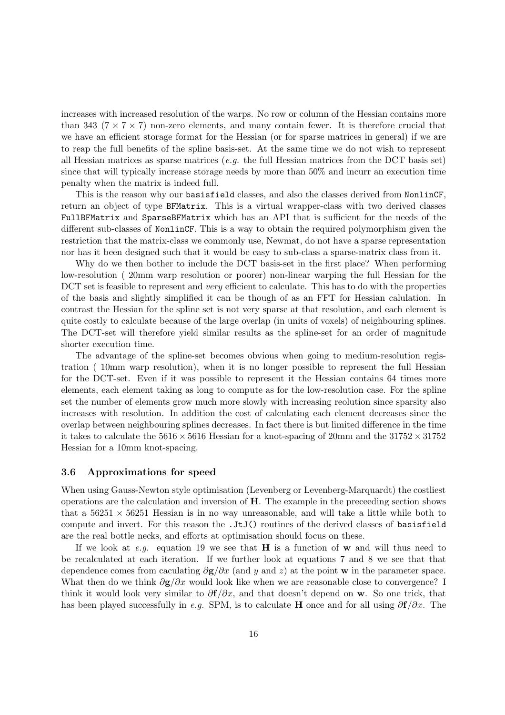increases with increased resolution of the warps. No row or column of the Hessian contains more than 343 ( $7 \times 7 \times 7$ ) non-zero elements, and many contain fewer. It is therefore crucial that we have an efficient storage format for the Hessian (or for sparse matrices in general) if we are to reap the full benefits of the spline basis-set. At the same time we do not wish to represent all Hessian matrices as sparse matrices  $(e,q)$ , the full Hessian matrices from the DCT basis set) since that will typically increase storage needs by more than 50% and incurr an execution time penalty when the matrix is indeed full.

This is the reason why our basisfield classes, and also the classes derived from NonlinCF, return an object of type BFMatrix. This is a virtual wrapper-class with two derived classes FullBFMatrix and SparseBFMatrix which has an API that is sufficient for the needs of the different sub-classes of NonlinCF. This is a way to obtain the required polymorphism given the restriction that the matrix-class we commonly use, Newmat, do not have a sparse representation nor has it been designed such that it would be easy to sub-class a sparse-matrix class from it.

Why do we then bother to include the DCT basis-set in the first place? When performing low-resolution ( 20mm warp resolution or poorer) non-linear warping the full Hessian for the DCT set is feasible to represent and *very* efficient to calculate. This has to do with the properties of the basis and slightly simplified it can be though of as an FFT for Hessian calulation. In contrast the Hessian for the spline set is not very sparse at that resolution, and each element is quite costly to calculate because of the large overlap (in units of voxels) of neighbouring splines. The DCT-set will therefore yield similar results as the spline-set for an order of magnitude shorter execution time.

The advantage of the spline-set becomes obvious when going to medium-resolution registration ( 10mm warp resolution), when it is no longer possible to represent the full Hessian for the DCT-set. Even if it was possible to represent it the Hessian contains 64 times more elements, each element taking as long to compute as for the low-resolution case. For the spline set the number of elements grow much more slowly with increasing reolution since sparsity also increases with resolution. In addition the cost of calculating each element decreases since the overlap between neighbouring splines decreases. In fact there is but limited difference in the time it takes to calculate the  $5616 \times 5616$  Hessian for a knot-spacing of 20mm and the  $31752 \times 31752$ Hessian for a 10mm knot-spacing.

#### 3.6 Approximations for speed

When using Gauss-Newton style optimisation (Levenberg or Levenberg-Marquardt) the costliest operations are the calculation and inversion of H. The example in the preceeding section shows that a  $56251 \times 56251$  Hessian is in no way unreasonable, and will take a little while both to compute and invert. For this reason the .JtJ() routines of the derived classes of basisfield are the real bottle necks, and efforts at optimisation should focus on these.

If we look at e.g. equation 19 we see that **H** is a function of **w** and will thus need to be recalculated at each iteration. If we further look at equations 7 and 8 we see that that dependence comes from caculating  $\partial \mathbf{g}/\partial x$  (and y and z) at the point w in the parameter space. What then do we think  $\partial g/\partial x$  would look like when we are reasonable close to convergence? I think it would look very similar to  $\partial f/\partial x$ , and that doesn't depend on w. So one trick, that has been played successfully in e.g. SPM, is to calculate H once and for all using  $\partial f/\partial x$ . The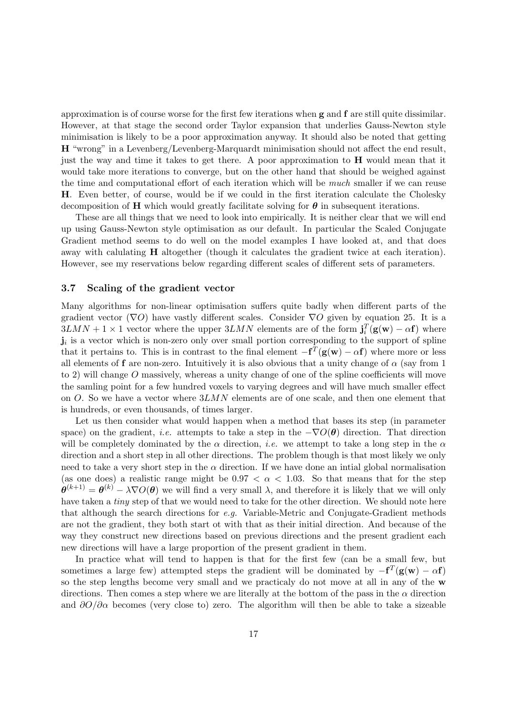approximation is of course worse for the first few iterations when g and f are still quite dissimilar. However, at that stage the second order Taylor expansion that underlies Gauss-Newton style minimisation is likely to be a poor approximation anyway. It should also be noted that getting H "wrong" in a Levenberg/Levenberg-Marquardt minimisation should not affect the end result, just the way and time it takes to get there. A poor approximation to H would mean that it would take more iterations to converge, but on the other hand that should be weighed against the time and computational effort of each iteration which will be much smaller if we can reuse H. Even better, of course, would be if we could in the first iteration calculate the Cholesky decomposition of H which would greatly facilitate solving for  $\theta$  in subsequent iterations.

These are all things that we need to look into empirically. It is neither clear that we will end up using Gauss-Newton style optimisation as our default. In particular the Scaled Conjugate Gradient method seems to do well on the model examples I have looked at, and that does away with calulating H altogether (though it calculates the gradient twice at each iteration). However, see my reservations below regarding different scales of different sets of parameters.

#### 3.7 Scaling of the gradient vector

Many algorithms for non-linear optimisation suffers quite badly when different parts of the gradient vector ( $\nabla$ O) have vastly different scales. Consider  $\nabla$ O given by equation 25. It is a  $3LMN + 1 \times 1$  vector where the upper  $3LMN$  elements are of the form  $\mathbf{j}_i^T(\mathbf{g}(\mathbf{w}) - \alpha \mathbf{f})$  where  $\mathbf{j}_i$  is a vector which is non-zero only over small portion corresponding to the support of spline that it pertains to. This is in contrast to the final element  $-f<sup>T</sup>(g(w) - \alpha f)$  where more or less all elements of f are non-zero. Intuitively it is also obvious that a unity change of  $\alpha$  (say from 1) to 2) will change O massively, whereas a unity change of one of the spline coefficients will move the samling point for a few hundred voxels to varying degrees and will have much smaller effect on O. So we have a vector where  $3LMN$  elements are of one scale, and then one element that is hundreds, or even thousands, of times larger.

Let us then consider what would happen when a method that bases its step (in parameter space) on the gradient, *i.e.* attempts to take a step in the  $-\nabla O(\theta)$  direction. That direction will be completely dominated by the  $\alpha$  direction, *i.e.* we attempt to take a long step in the  $\alpha$ direction and a short step in all other directions. The problem though is that most likely we only need to take a very short step in the  $\alpha$  direction. If we have done an intial global normalisation (as one does) a realistic range might be  $0.97 < \alpha < 1.03$ . So that means that for the step  $\theta^{(k+1)} = \theta^{(k)} - \lambda \nabla O(\theta)$  we will find a very small  $\lambda$ , and therefore it is likely that we will only have taken a *tiny* step of that we would need to take for the other direction. We should note here that although the search directions for e.g. Variable-Metric and Conjugate-Gradient methods are not the gradient, they both start ot with that as their initial direction. And because of the way they construct new directions based on previous directions and the present gradient each new directions will have a large proportion of the present gradient in them.

In practice what will tend to happen is that for the first few (can be a small few, but sometimes a large few) attempted steps the gradient will be dominated by  $-f^{T}(g(w) - \alpha f)$ so the step lengths become very small and we practicaly do not move at all in any of the w directions. Then comes a step where we are literally at the bottom of the pass in the  $\alpha$  direction and  $\partial O/\partial \alpha$  becomes (very close to) zero. The algorithm will then be able to take a sizeable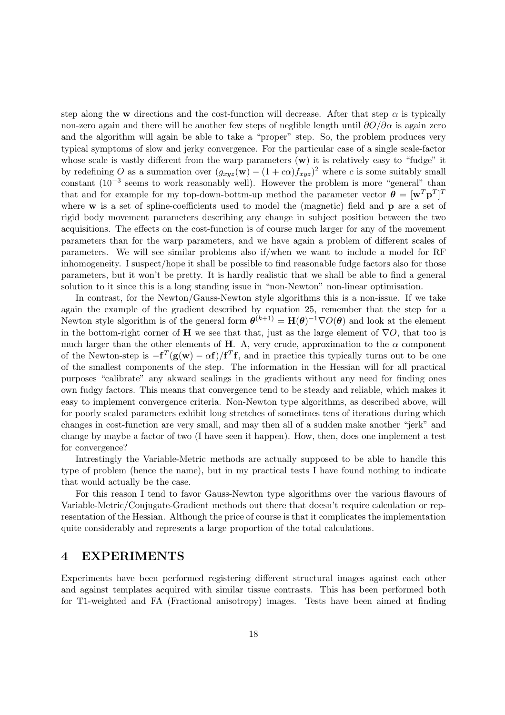step along the w directions and the cost-function will decrease. After that step  $\alpha$  is typically non-zero again and there will be another few steps of neglible length until  $\partial O/\partial \alpha$  is again zero and the algorithm will again be able to take a "proper" step. So, the problem produces very typical symptoms of slow and jerky convergence. For the particular case of a single scale-factor whose scale is vastly different from the warp parameters  $(w)$  it is relatively easy to "fudge" it by redefining O as a summation over  $(g_{xyz}(\mathbf{w}) - (1 + c\alpha)f_{xyz})^2$  where c is some suitably small constant  $(10^{-3}$  seems to work reasonably well). However the problem is more "general" than that and for example for my top-down-bottm-up method the parameter vector  $\boldsymbol{\theta} = [\mathbf{w}^T \mathbf{p}^T]^T$ where w is a set of spline-coefficients used to model the (magnetic) field and **p** are a set of rigid body movement parameters describing any change in subject position between the two acquisitions. The effects on the cost-function is of course much larger for any of the movement parameters than for the warp parameters, and we have again a problem of different scales of parameters. We will see similar problems also if/when we want to include a model for RF inhomogeneity. I suspect/hope it shall be possible to find reasonable fudge factors also for those parameters, but it won't be pretty. It is hardly realistic that we shall be able to find a general solution to it since this is a long standing issue in "non-Newton" non-linear optimisation.

In contrast, for the Newton/Gauss-Newton style algorithms this is a non-issue. If we take again the example of the gradient described by equation 25, remember that the step for a Newton style algorithm is of the general form  $\boldsymbol{\theta}^{(k+1)} = \mathbf{H}(\boldsymbol{\theta})^{-1} \nabla O(\boldsymbol{\theta})$  and look at the element in the bottom-right corner of H we see that that, just as the large element of  $\nabla O$ , that too is much larger than the other elements of H. A, very crude, approximation to the  $\alpha$  component of the Newton-step is  $-f^{T}(g(w) - \alpha f)/f^{T}f$ , and in practice this typically turns out to be one of the smallest components of the step. The information in the Hessian will for all practical purposes "calibrate" any akward scalings in the gradients without any need for finding ones own fudgy factors. This means that convergence tend to be steady and reliable, which makes it easy to implement convergence criteria. Non-Newton type algorithms, as described above, will for poorly scaled parameters exhibit long stretches of sometimes tens of iterations during which changes in cost-function are very small, and may then all of a sudden make another "jerk" and change by maybe a factor of two (I have seen it happen). How, then, does one implement a test for convergence?

Intrestingly the Variable-Metric methods are actually supposed to be able to handle this type of problem (hence the name), but in my practical tests I have found nothing to indicate that would actually be the case.

For this reason I tend to favor Gauss-Newton type algorithms over the various flavours of Variable-Metric/Conjugate-Gradient methods out there that doesn't require calculation or representation of the Hessian. Although the price of course is that it complicates the implementation quite considerably and represents a large proportion of the total calculations.

# 4 EXPERIMENTS

Experiments have been performed registering different structural images against each other and against templates acquired with similar tissue contrasts. This has been performed both for T1-weighted and FA (Fractional anisotropy) images. Tests have been aimed at finding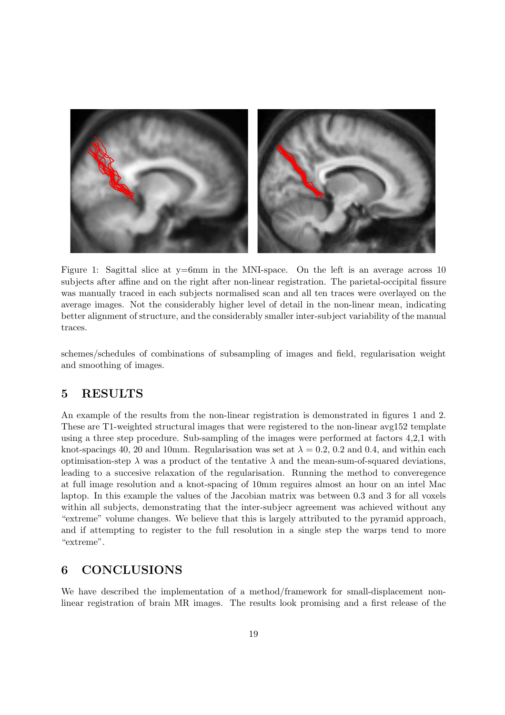

Figure 1: Sagittal slice at y=6mm in the MNI-space. On the left is an average across 10 subjects after affine and on the right after non-linear registration. The parietal-occipital fissure was manually traced in each subjects normalised scan and all ten traces were overlayed on the average images. Not the considerably higher level of detail in the non-linear mean, indicating better alignment of structure, and the considerably smaller inter-subject variability of the manual traces.

schemes/schedules of combinations of subsampling of images and field, regularisation weight and smoothing of images.

# 5 RESULTS

An example of the results from the non-linear registration is demonstrated in figures 1 and 2. These are T1-weighted structural images that were registered to the non-linear avg152 template using a three step procedure. Sub-sampling of the images were performed at factors 4,2,1 with knot-spacings 40, 20 and 10mm. Regularisation was set at  $\lambda = 0.2$ , 0.2 and 0.4, and within each optimisation-step  $\lambda$  was a product of the tentative  $\lambda$  and the mean-sum-of-squared deviations, leading to a succesive relaxation of the regularisation. Running the method to converegence at full image resolution and a knot-spacing of 10mm reguires almost an hour on an intel Mac laptop. In this example the values of the Jacobian matrix was between 0.3 and 3 for all voxels within all subjects, demonstrating that the inter-subjecr agreement was achieved without any "extreme" volume changes. We believe that this is largely attributed to the pyramid approach, and if attempting to register to the full resolution in a single step the warps tend to more "extreme".

# 6 CONCLUSIONS

We have described the implementation of a method/framework for small-displacement nonlinear registration of brain MR images. The results look promising and a first release of the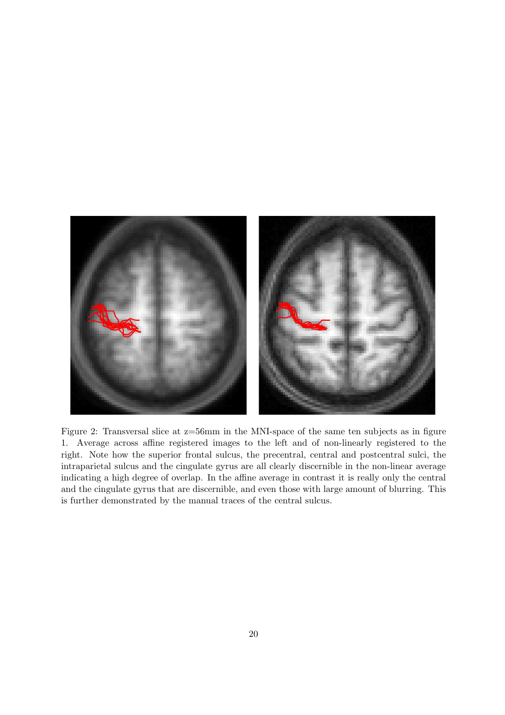

Figure 2: Transversal slice at z=56mm in the MNI-space of the same ten subjects as in figure 1. Average across affine registered images to the left and of non-linearly registered to the right. Note how the superior frontal sulcus, the precentral, central and postcentral sulci, the intraparietal sulcus and the cingulate gyrus are all clearly discernible in the non-linear average indicating a high degree of overlap. In the affine average in contrast it is really only the central and the cingulate gyrus that are discernible, and even those with large amount of blurring. This is further demonstrated by the manual traces of the central sulcus.